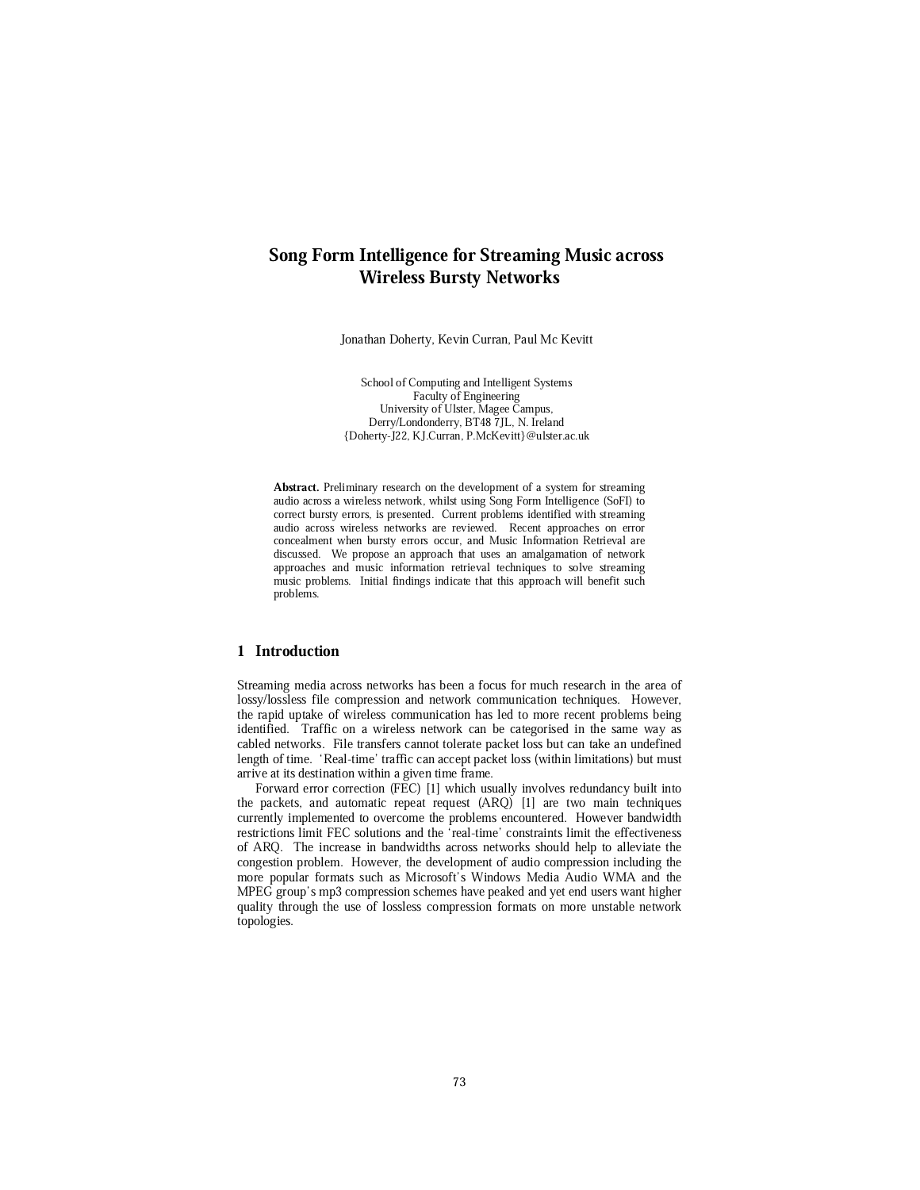# Song Form Intelligence for Streaming Music across Wireless Bursty Networks

Jonathan Doherty, Kevin Curran, Paul Mc Kevitt

School of Computing and Intelligent Systems Faculty of Engineering University of Ulster, Magee Campus, Derry/Londonderry, BT48 7JL, N. Ireland {Doherty-J22, KJ.Curran, P.McKevitt}@ulster.ac.uk

Abstract. Preliminary research on the development of a system for streaming audio across a wireless network, whilst using Song Form Intelligence (SoFI) to correct bursty errors, is presented. Current problems identified with streaming audio across wireless networks are reviewed. Recent approaches on error concealment when bursty errors occur, and Music Information Retrieval are discussed. We propose an approach that uses an amalgamation of network approaches and music information retrieval techniques to solve streaming music problems. Initial findings indicate that this approach will benefit such problems.

### 1 Introduction

Streaming media across networks has been a focus for much research in the area of lossy/lossless file compression and network communication techniques. However, the rapid uptake of wireless communication has led to more recent problems being identified. Traffic on a wireless network can be categorised in the same way as cabled networks. File transfers cannot tolerate packet loss but can take an undefined length of time. 'Real-time' traffic can accept packet loss (within limitations) but must arrive at its destination within a given time frame.

Forward error correction (FEC) [1] which usually involves redundancy built into the packets, and automatic repeat request (ARQ) [1] are two main techniques currently implemented to overcome the problems encountered. However bandwidth restrictions limit FEC solutions and the `real-time' constraints limit the effectiveness of ARQ. The increase in bandwidths across networks should help to alleviate the congestion problem. However, the development of audio compression including the more popular formats such as Microsoft's Windows Media Audio WMA and the MPEG group's mp3 compression schemes have peaked and yet end users want higher quality through the use of lossless compression formats on more unstable network topologies.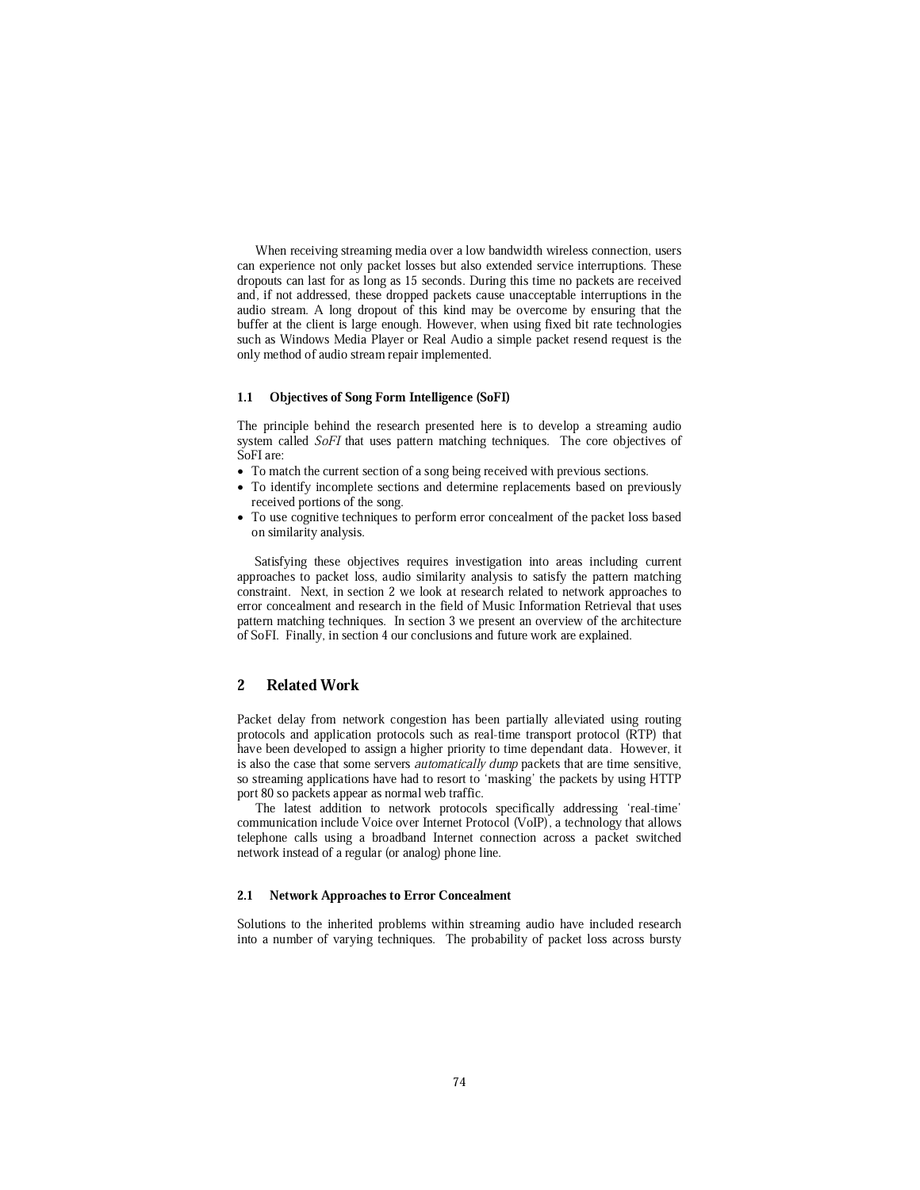When receiving streaming media over a low bandwidth wireless connection, users can experience not only packet losses but also extended service interruptions. These dropouts can last for as long as 15 seconds. During this time no packets are received and, if not addressed, these dropped packets cause unacceptable interruptions in the audio stream. A long dropout of this kind may be overcome by ensuring that the buffer at the client is large enough. However, when using fixed bit rate technologies such as Windows Media Player or Real Audio a simple packet resend request is the only method of audio stream repair implemented.

### 1.1 Objectives of Song Form Intelligence (SoFI)

The principle behind the research presented here is to develop a streaming audio system called *SoFI* that uses pattern matching techniques. The core objectives of SoFI are:

- To match the current section of a song being received with previous sections.
- To identify incomplete sections and determine replacements based on previously received portions of the song.
- To use cognitive techniques to perform error concealment of the packet loss based on similarity analysis.

Satisfying these objectives requires investigation into areas including current approaches to packet loss, audio similarity analysis to satisfy the pattern matching constraint. Next, in section 2 we look at research related to network approaches to error concealment and research in the field of Music Information Retrieval that uses pattern matching techniques. In section 3 we present an overview of the architecture of SoFI. Finally, in section 4 our conclusions and future work are explained.

# 2 Related Work

Packet delay from network congestion has been partially alleviated using routing protocols and application protocols such as real-time transport protocol (RTP) that have been developed to assign a higher priority to time dependant data. However, it is also the case that some servers *automatically dump* packets that are time sensitive, so streaming applications have had to resort to 'masking' the packets by using HTTP port 80 so packets appear as normal web traffic.

The latest addition to network protocols specifically addressing 'real-time' communication include Voice over Internet Protocol (VoIP), a technology that allows telephone calls using a broadband Internet connection across a packet switched network instead of a regular (or analog) phone line.

#### 2.1 Network Approaches to Error Concealment

Solutions to the inherited problems within streaming audio have included research into a number of varying techniques. The probability of packet loss across bursty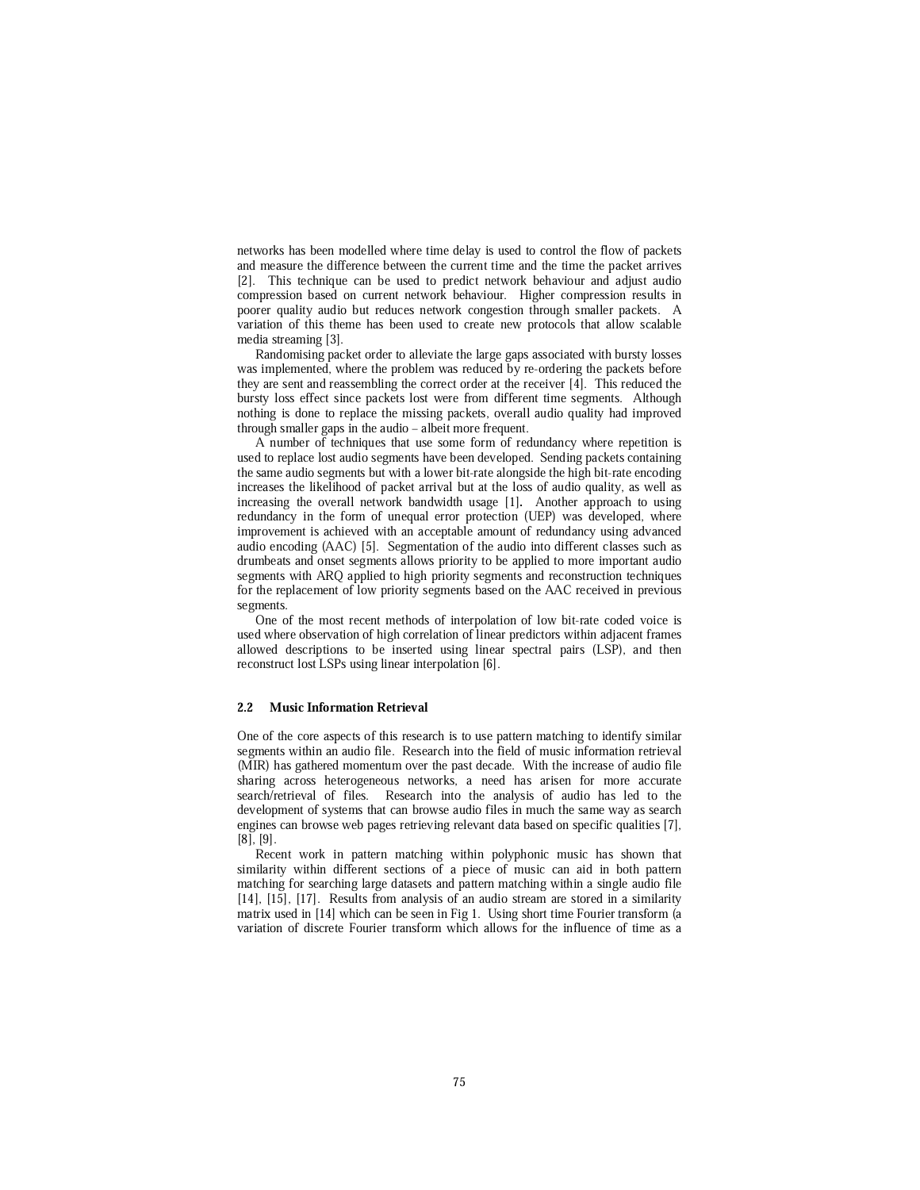networks has been modelled where time delay is used to control the flow of packets and measure the difference between the current time and the time the packet arrives [2]. This technique can be used to predict network behaviour and adjust audio compression based on current network behaviour. Higher compression results in poorer quality audio but reduces network congestion through smaller packets. A variation of this theme has been used to create new protocols that allow scalable media streaming [3].

Randomising packet order to alleviate the large gaps associated with bursty losses was implemented, where the problem was reduced by re-ordering the packets before they are sent and reassembling the correct order at the receiver [4]. This reduced the bursty loss effect since packets lost were from different time segments. Although nothing is done to replace the missing packets, overall audio quality had improved through smaller gaps in the audio – albeit more frequent.

A number of techniques that use some form of redundancy where repetition is used to replace lost audio segments have been developed. Sending packets containing the same audio segments but with a lower bit-rate alongside the high bit-rate encoding increases the likelihood of packet arrival but at the loss of audio quality, as well as increasing the overall network bandwidth usage [1]. Another approach to using redundancy in the form of unequal error protection (UEP) was developed, where improvement is achieved with an acceptable amount of redundancy using advanced audio encoding (AAC) [5]. Segmentation of the audio into different classes such as drumbeats and onset segments allows priority to be applied to more important audio segments with ARQ applied to high priority segments and reconstruction techniques for the replacement of low priority segments based on the AAC received in previous segments.

One of the most recent methods of interpolation of low bit-rate coded voice is used where observation of high correlation of linear predictors within adjacent frames allowed descriptions to be inserted using linear spectral pairs (LSP), and then reconstruct lost LSPs using linear interpolation [6].

#### 2.2 Music Information Retrieval

One of the core aspects of this research is to use pattern matching to identify similar segments within an audio file. Research into the field of music information retrieval (MIR) has gathered momentum over the past decade. With the increase of audio file sharing across heterogeneous networks, a need has arisen for more accurate search/retrieval of files. Research into the analysis of audio has led to the development of systems that can browse audio files in much the same way as search engines can browse web pages retrieving relevant data based on specific qualities [7], [8], [9].

Recent work in pattern matching within polyphonic music has shown that similarity within different sections of a piece of music can aid in both pattern matching for searching large datasets and pattern matching within a single audio file [14], [15], [17]. Results from analysis of an audio stream are stored in a similarity matrix used in [14] which can be seen in Fig 1. Using short time Fourier transform (a variation of discrete Fourier transform which allows for the influence of time as a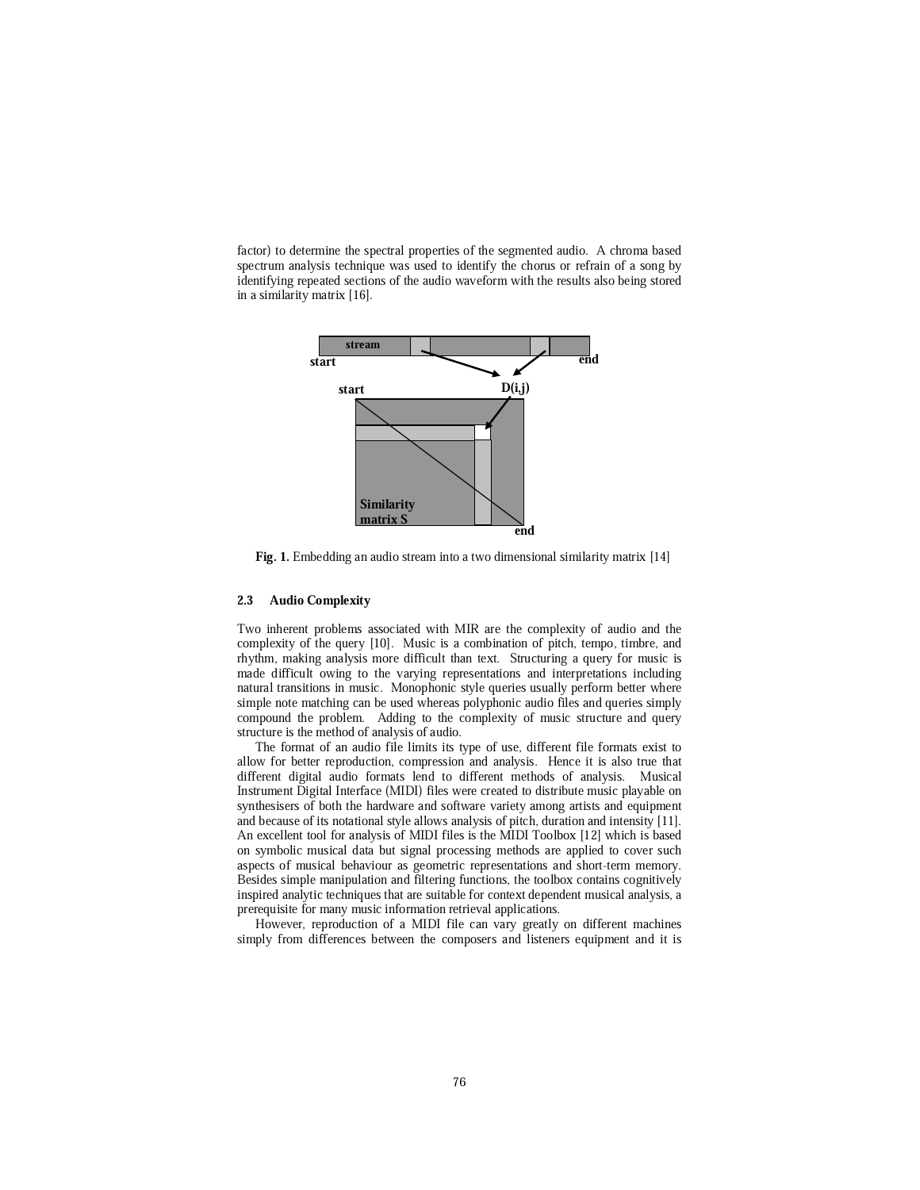factor) to determine the spectral properties of the segmented audio. A chroma based spectrum analysis technique was used to identify the chorus or refrain of a song by identifying repeated sections of the audio waveform with the results also being stored in a similarity matrix [16].



Fig. 1. Embedding an audio stream into a two dimensional similarity matrix [14]

#### 2.3 Audio Complexity

Two inherent problems associated with MIR are the complexity of audio and the complexity of the query [10]. Music is a combination of pitch, tempo, timbre, and rhythm, making analysis more difficult than text. Structuring a query for music is made difficult owing to the varying representations and interpretations including natural transitions in music. Monophonic style queries usually perform better where simple note matching can be used whereas polyphonic audio files and queries simply compound the problem. Adding to the complexity of music structure and query structure is the method of analysis of audio.

The format of an audio file limits its type of use, different file formats exist to allow for better reproduction, compression and analysis. Hence it is also true that different digital audio formats lend to different methods of analysis. Musical Instrument Digital Interface (MIDI) files were created to distribute music playable on synthesisers of both the hardware and software variety among artists and equipment and because of its notational style allows analysis of pitch, duration and intensity [11]. An excellent tool for analysis of MIDI files is the MIDI Toolbox [12] which is based on symbolic musical data but signal processing methods are applied to cover such aspects of musical behaviour as geometric representations and short-term memory. Besides simple manipulation and filtering functions, the toolbox contains cognitively inspired analytic techniques that are suitable for context dependent musical analysis, a prerequisite for many music information retrieval applications.

However, reproduction of a MIDI file can vary greatly on different machines simply from differences between the composers and listeners equipment and it is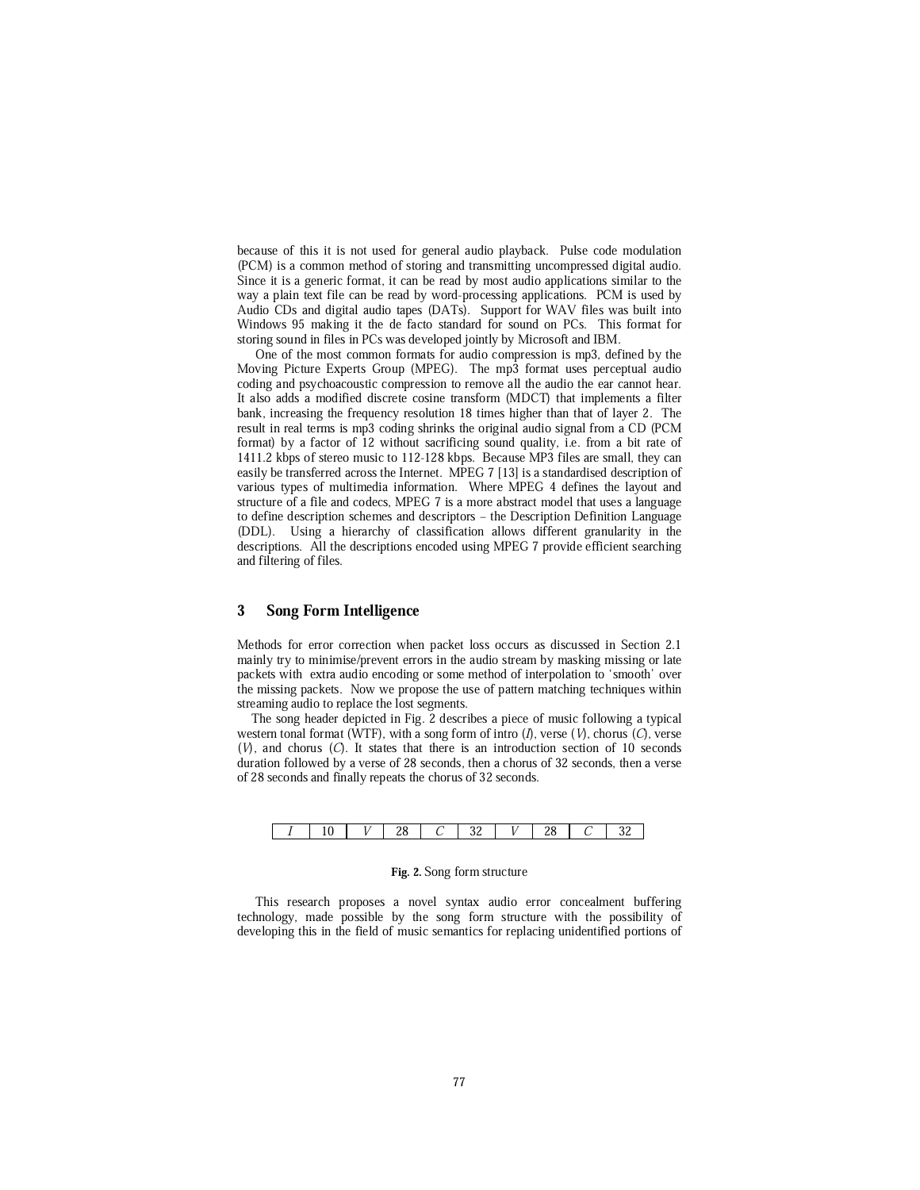because of this it is not used for general audio playback. Pulse code modulation (PCM) is a common method of storing and transmitting uncompressed digital audio. Since it is a generic format, it can be read by most audio applications similar to the way a plain text file can be read by word-processing applications. PCM is used by Audio CDs and digital audio tapes (DATs). Support for WAV files was built into Windows 95 making it the de facto standard for sound on PCs. This format for storing sound in files in PCs was developed jointly by Microsoft and IBM.

One of the most common formats for audio compression is mp3, defined by the Moving Picture Experts Group (MPEG). The mp3 format uses perceptual audio coding and psychoacoustic compression to remove all the audio the ear cannot hear. It also adds a modified discrete cosine transform (MDCT) that implements a filter bank, increasing the frequency resolution 18 times higher than that of layer 2. The result in real terms is mp3 coding shrinks the original audio signal from a CD (PCM format) by a factor of 12 without sacrificing sound quality, i.e. from a bit rate of 1411.2 kbps of stereo music to 112-128 kbps. Because MP3 files are small, they can easily be transferred across the Internet. MPEG 7 [13] is a standardised description of various types of multimedia information. Where MPEG 4 defines the layout and structure of a file and codecs, MPEG 7 is a more abstract model that uses a language to define description schemes and descriptors – the Description Definition Language (DDL). Using a hierarchy of classification allows different granularity in the descriptions. All the descriptions encoded using MPEG 7 provide efficient searching and filtering of files.

## 3 Song Form Intelligence

Methods for error correction when packet loss occurs as discussed in Section 2.1 mainly try to minimise/prevent errors in the audio stream by masking missing or late packets with extra audio encoding or some method of interpolation to `smooth' over the missing packets. Now we propose the use of pattern matching techniques within streaming audio to replace the lost segments.

The song header depicted in Fig. 2 describes a piece of music following a typical western tonal format (WTF), with a song form of intro  $(I)$ , verse  $(V)$ , chorus  $(C)$ , verse  $(V)$ , and chorus  $(C)$ . It states that there is an introduction section of 10 seconds duration followed by a verse of 28 seconds, then a chorus of 32 seconds, then a verse of 28 seconds and finally repeats the chorus of 32 seconds.

|--|--|--|--|--|--|--|--|--|--|

#### Fig. 2. Song form structure

This research proposes a novel syntax audio error concealment buffering technology, made possible by the song form structure with the possibility of developing this in the field of music semantics for replacing unidentified portions of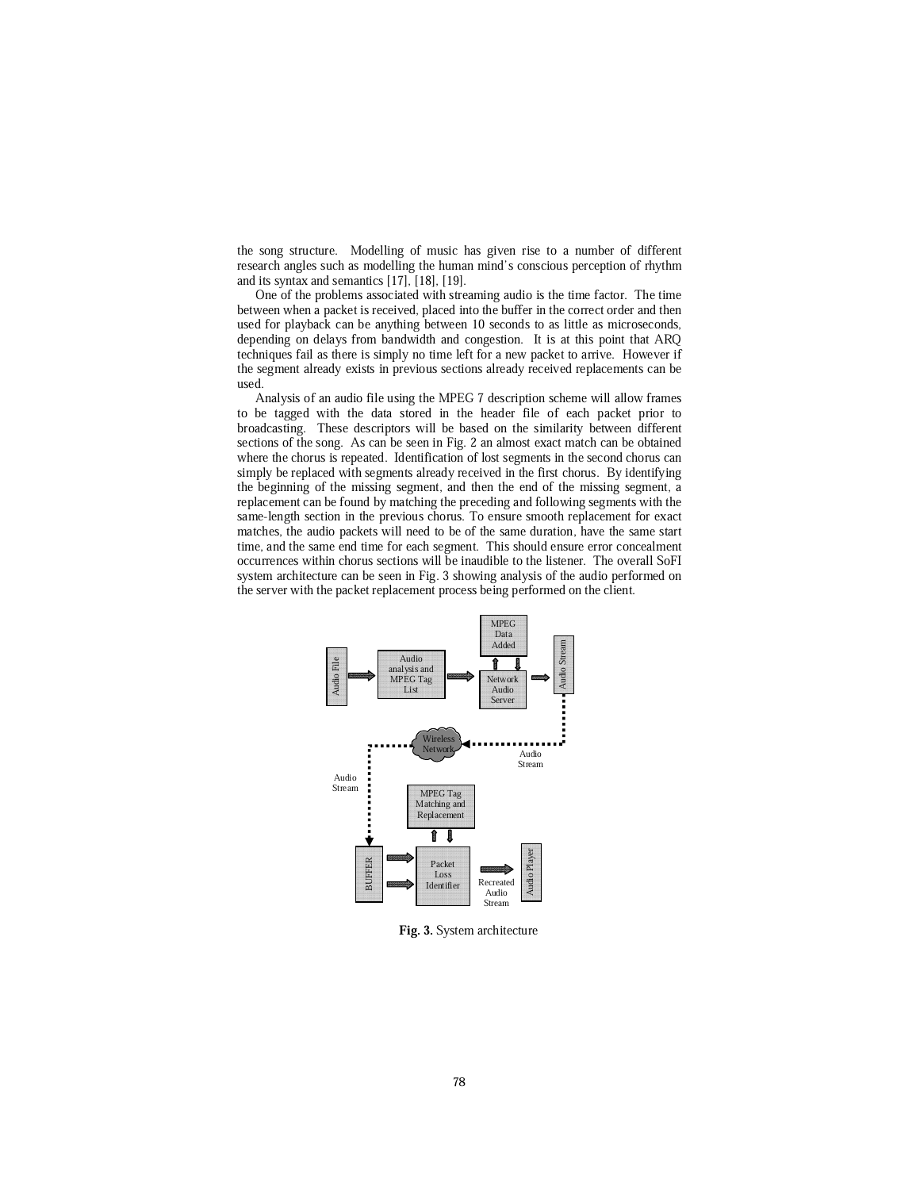the song structure. Modelling of music has given rise to a number of different research angles such as modelling the human mind's conscious perception of rhythm and its syntax and semantics [17], [18], [19].

One of the problems associated with streaming audio is the time factor. The time between when a packet is received, placed into the buffer in the correct order and then used for playback can be anything between 10 seconds to as little as microseconds, depending on delays from bandwidth and congestion. It is at this point that ARQ techniques fail as there is simply no time left for a new packet to arrive. However if the segment already exists in previous sections already received replacements can be used.

Analysis of an audio file using the MPEG 7 description scheme will allow frames to be tagged with the data stored in the header file of each packet prior to broadcasting. These descriptors will be based on the similarity between different sections of the song. As can be seen in Fig. 2 an almost exact match can be obtained where the chorus is repeated. Identification of lost segments in the second chorus can simply be replaced with segments already received in the first chorus. By identifying the beginning of the missing segment, and then the end of the missing segment, a replacement can be found by matching the preceding and following segments with the same-length section in the previous chorus. To ensure smooth replacement for exact matches, the audio packets will need to be of the same duration, have the same start time, and the same end time for each segment. This should ensure error concealment occurrences within chorus sections will be inaudible to the listener. The overall SoFI system architecture can be seen in Fig. 3 showing analysis of the audio performed on the server with the packet replacement process being performed on the client.



Fig. 3. System architecture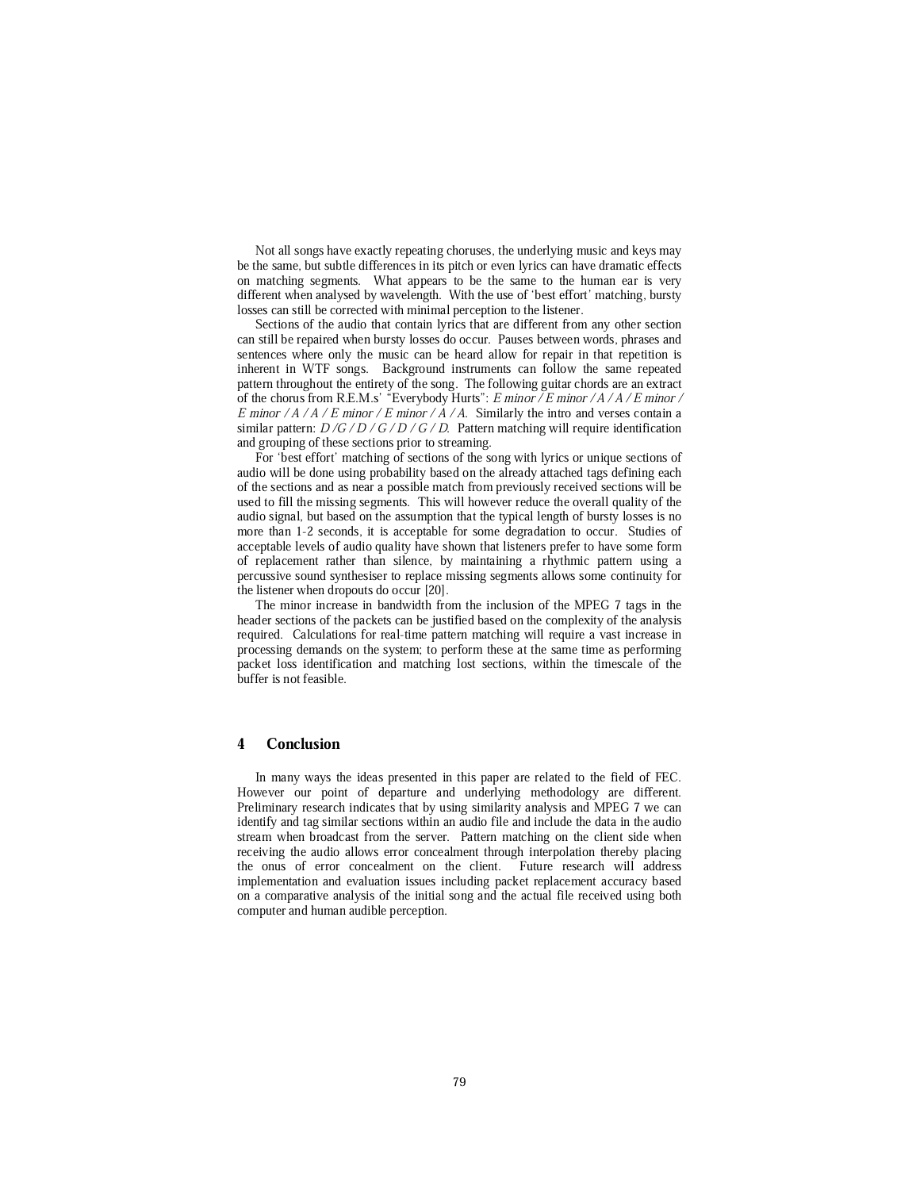Not all songs have exactly repeating choruses, the underlying music and keys may be the same, but subtle differences in its pitch or even lyrics can have dramatic effects on matching segments. What appears to be the same to the human ear is very different when analysed by wavelength. With the use of `best effort' matching, bursty losses can still be corrected with minimal perception to the listener.

Sections of the audio that contain lyrics that are different from any other section can still be repaired when bursty losses do occur. Pauses between words, phrases and sentences where only the music can be heard allow for repair in that repetition is inherent in WTF songs. Background instruments can follow the same repeated pattern throughout the entirety of the song. The following guitar chords are an extract of the chorus from R.E.M.s' "Everybody Hurts": E minor / E minor / A / A / E minor / E minor / A / A / E minor / E minor / A / A. Similarly the intro and verses contain a similar pattern:  $D/G/D/G/D/G/D$ . Pattern matching will require identification and grouping of these sections prior to streaming.

For 'best effort' matching of sections of the song with lyrics or unique sections of audio will be done using probability based on the already attached tags defining each of the sections and as near a possible match from previously received sections will be used to fill the missing segments. This will however reduce the overall quality of the audio signal, but based on the assumption that the typical length of bursty losses is no more than 1-2 seconds, it is acceptable for some degradation to occur. Studies of acceptable levels of audio quality have shown that listeners prefer to have some form of replacement rather than silence, by maintaining a rhythmic pattern using a percussive sound synthesiser to replace missing segments allows some continuity for the listener when dropouts do occur [20].

The minor increase in bandwidth from the inclusion of the MPEG 7 tags in the header sections of the packets can be justified based on the complexity of the analysis required. Calculations for real-time pattern matching will require a vast increase in processing demands on the system; to perform these at the same time as performing packet loss identification and matching lost sections, within the timescale of the buffer is not feasible.

## 4 Conclusion

In many ways the ideas presented in this paper are related to the field of FEC. However our point of departure and underlying methodology are different. Preliminary research indicates that by using similarity analysis and MPEG 7 we can identify and tag similar sections within an audio file and include the data in the audio stream when broadcast from the server. Pattern matching on the client side when receiving the audio allows error concealment through interpolation thereby placing the onus of error concealment on the client. Future research will address implementation and evaluation issues including packet replacement accuracy based on a comparative analysis of the initial song and the actual file received using both computer and human audible perception.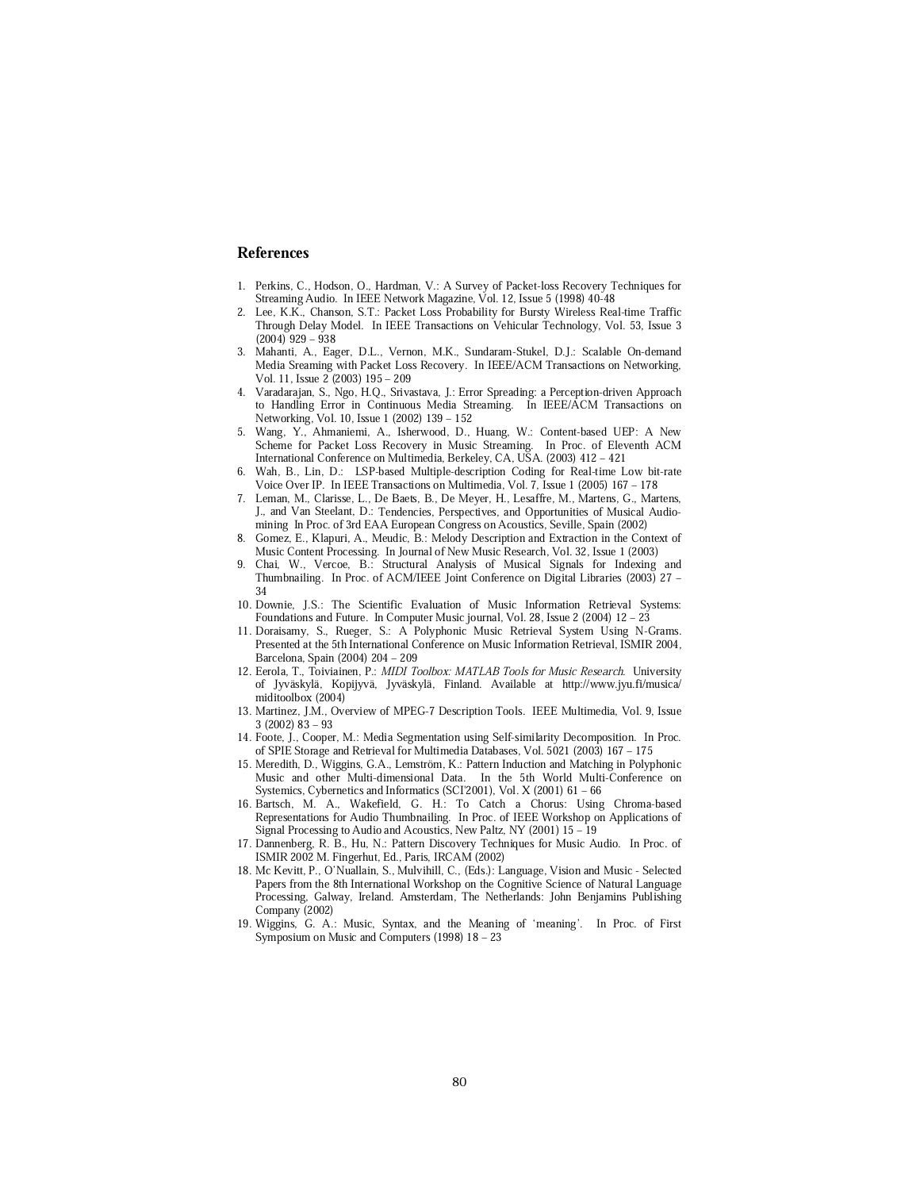#### References

- 1. Perkins, C., Hodson, O., Hardman, V.: A Survey of Packet-loss Recovery Techniques for Streaming Audio. In IEEE Network Magazine, Vol. 12, Issue 5 (1998) 40-48
- 2. Lee, K.K., Chanson, S.T.: Packet Loss Probability for Bursty Wireless Real-time Traffic Through Delay Model. In IEEE Transactions on Vehicular Technology, Vol. 53, Issue 3  $(2004)$  929  $-$  938
- 3. Mahanti, A., Eager, D.L., Vernon, M.K., Sundaram-Stukel, D.J.: Scalable On-demand Media Sreaming with Packet Loss Recovery. In IEEE/ACM Transactions on Networking, Vol. 11, Issue 2 (2003) 195 - 209
- 4. Varadarajan, S., Ngo, H.Q., Srivastava, J.: Error Spreading: a Perception-driven Approach to Handling Error in Continuous Media Streaming. In IEEE/ACM Transactions on Networking, Vol. 10, Issue 1 (2002) 139 - 152
- 5. Wang, Y., Ahmaniemi, A., Isherwood, D., Huang, W.: Content-based UEP: A New Scheme for Packet Loss Recovery in Music Streaming. In Proc. of Eleventh ACM International Conference on Multimedia, Berkeley, CA, USA. (2003) 412 - 421
- Wah, B., Lin, D.: LSP-based Multiple-description Coding for Real-time Low bit-rate Voice Over IP. In IEEE Transactions on Multimedia, Vol. 7, Issue 1 (2005) 167 - 178
- 7. Leman, M., Clarisse, L., De Baets, B., De Meyer, H., Lesaffre, M., Martens, G., Martens, J., and Van Steelant, D.: Tendencies, Perspectives, and Opportunities of Musical Audiomining In Proc. of 3rd EAA European Congress on Acoustics, Seville, Spain (2002)
- 8. Gomez, E., Klapuri, A., Meudic, B.: Melody Description and Extraction in the Context of Music Content Processing. In Journal of New Music Research, Vol. 32, Issue 1 (2003)
- 9. Chai, W., Vercoe, B.: Structural Analysis of Musical Signals for Indexing and Thumbnailing. In Proc. of ACM/IEEE Joint Conference on Digital Libraries (2003) 27 -34
- 10. Downie, J.S.: The Scientific Evaluation of Music Information Retrieval Systems: Foundations and Future. In Computer Music journal, Vol. 28, Issue 2 (2004)  $12 - 23$
- 11. Doraisamy, S., Rueger, S.: A Polyphonic Music Retrieval System Using N-Grams. Presented at the 5th International Conference on Music Information Retrieval, ISMIR 2004, Barcelona, Spain (2004) 204 - 209
- 12. Eerola, T., Toiviainen, P.: MIDI Toolbox: MATLAB Tools for Music Research. University of Jyväskylä, Kopijyvä, Jyväskylä, Finland. Available at http://www.jyu.fi/musica/ miditoolbox (2004)
- 13. Martinez, J.M., Overview of MPEG-7 Description Tools. IEEE Multimedia, Vol. 9, Issue  $3(2002)$   $83 - 93$
- 14. Foote, J., Cooper, M.: Media Segmentation using Self-similarity Decomposition. In Proc. of SPIE Storage and Retrieval for Multimedia Databases, Vol. 5021 (2003) 167 - 175
- 15. Meredith, D., Wiggins, G.A., Lemström, K.: Pattern Induction and Matching in Polyphonic Music and other Multi-dimensional Data. In the 5th World Multi-Conference on Systemics, Cybernetics and Informatics (SCI'2001), Vol. X (2001) 61 - 66
- 16. Bartsch, M. A., Wakefield, G. H.: To Catch a Chorus: Using Chroma-based Representations for Audio Thumbnailing. In Proc. of IEEE Workshop on Applications of Signal Processing to Audio and Acoustics, New Paltz, NY (2001) 15 – 19
- 17. Dannenberg, R. B., Hu, N.: Pattern Discovery Techniques for Music Audio. In Proc. of ISMIR 2002 M. Fingerhut, Ed., Paris, IRCAM (2002)
- 18. Mc Kevitt, P., O'Nuallain, S., Mulvihill, C., (Eds.): Language, Vision and Music Selected Papers from the 8th International Workshop on the Cognitive Science of Natural Language Processing, Galway, Ireland. Amsterdam, The Netherlands: John Benjamins Publishing Company (2002)
- 19. Wiggins, G. A.: Music, Syntax, and the Meaning of `meaning'. In Proc. of First Symposium on Music and Computers  $(1998)$  18 - 23